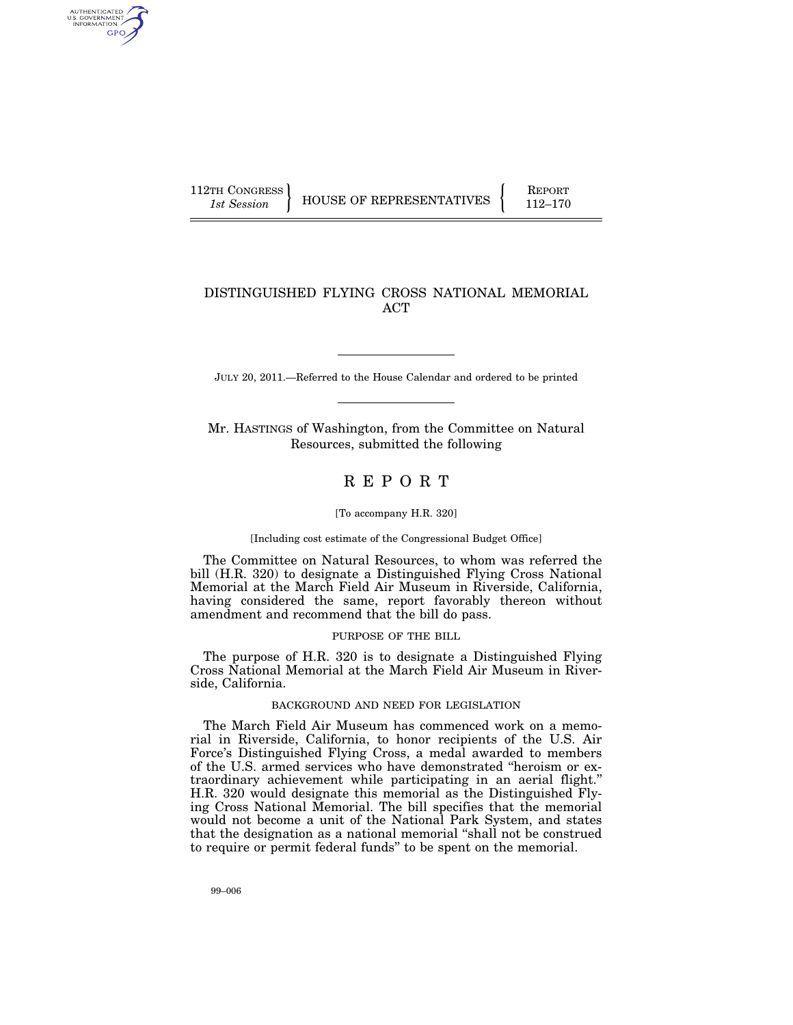AUTHENTICATED U.S. GOVERNMENT GPO

112TH CONGRESS HOUSE OF REPRESENTATIVES FEPORT 112–170

## DISTINGUISHED FLYING CROSS NATIONAL MEMORIAL ACT

JULY 20, 2011.—Referred to the House Calendar and ordered to be printed

Mr. HASTINGS of Washington, from the Committee on Natural Resources, submitted the following

# R E P O R T

#### [To accompany H.R. 320]

[Including cost estimate of the Congressional Budget Office]

The Committee on Natural Resources, to whom was referred the bill (H.R. 320) to designate a Distinguished Flying Cross National Memorial at the March Field Air Museum in Riverside, California, having considered the same, report favorably thereon without amendment and recommend that the bill do pass.

#### PURPOSE OF THE BILL

The purpose of H.R. 320 is to designate a Distinguished Flying Cross National Memorial at the March Field Air Museum in Riverside, California.

## BACKGROUND AND NEED FOR LEGISLATION

The March Field Air Museum has commenced work on a memorial in Riverside, California, to honor recipients of the U.S. Air Force's Distinguished Flying Cross, a medal awarded to members of the U.S. armed services who have demonstrated ''heroism or extraordinary achievement while participating in an aerial flight.'' H.R. 320 would designate this memorial as the Distinguished Flying Cross National Memorial. The bill specifies that the memorial would not become a unit of the National Park System, and states that the designation as a national memorial ''shall not be construed to require or permit federal funds'' to be spent on the memorial.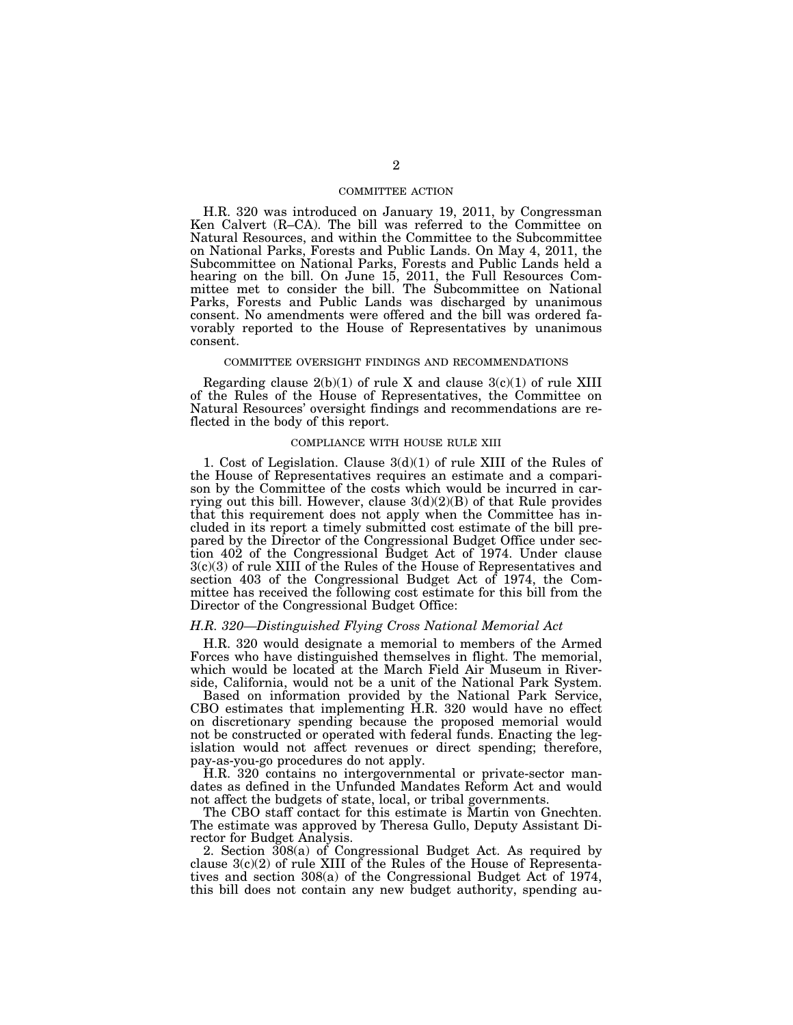## COMMITTEE ACTION

H.R. 320 was introduced on January 19, 2011, by Congressman Ken Calvert (R–CA). The bill was referred to the Committee on Natural Resources, and within the Committee to the Subcommittee on National Parks, Forests and Public Lands. On May 4, 2011, the Subcommittee on National Parks, Forests and Public Lands held a hearing on the bill. On June 15, 2011, the Full Resources Committee met to consider the bill. The Subcommittee on National Parks, Forests and Public Lands was discharged by unanimous consent. No amendments were offered and the bill was ordered favorably reported to the House of Representatives by unanimous consent.

#### COMMITTEE OVERSIGHT FINDINGS AND RECOMMENDATIONS

Regarding clause  $2(b)(1)$  of rule X and clause  $3(c)(1)$  of rule XIII of the Rules of the House of Representatives, the Committee on Natural Resources' oversight findings and recommendations are reflected in the body of this report.

## COMPLIANCE WITH HOUSE RULE XIII

1. Cost of Legislation. Clause 3(d)(1) of rule XIII of the Rules of the House of Representatives requires an estimate and a comparison by the Committee of the costs which would be incurred in carrying out this bill. However, clause  $3(d)(2)(B)$  of that Rule provides that this requirement does not apply when the Committee has included in its report a timely submitted cost estimate of the bill prepared by the Director of the Congressional Budget Office under section 402 of the Congressional Budget Act of 1974. Under clause 3(c)(3) of rule XIII of the Rules of the House of Representatives and section 403 of the Congressional Budget Act of 1974, the Committee has received the following cost estimate for this bill from the Director of the Congressional Budget Office:

## *H.R. 320—Distinguished Flying Cross National Memorial Act*

H.R. 320 would designate a memorial to members of the Armed Forces who have distinguished themselves in flight. The memorial, which would be located at the March Field Air Museum in Riverside, California, would not be a unit of the National Park System.

Based on information provided by the National Park Service, CBO estimates that implementing H.R. 320 would have no effect on discretionary spending because the proposed memorial would not be constructed or operated with federal funds. Enacting the legislation would not affect revenues or direct spending; therefore, pay-as-you-go procedures do not apply.

H.R. 320 contains no intergovernmental or private-sector mandates as defined in the Unfunded Mandates Reform Act and would not affect the budgets of state, local, or tribal governments.

The CBO staff contact for this estimate is Martin von Gnechten. The estimate was approved by Theresa Gullo, Deputy Assistant Director for Budget Analysis.

2. Section 308(a) of Congressional Budget Act. As required by clause  $3(c)(2)$  of rule XIII of the Rules of the House of Representatives and section 308(a) of the Congressional Budget Act of 1974, this bill does not contain any new budget authority, spending au